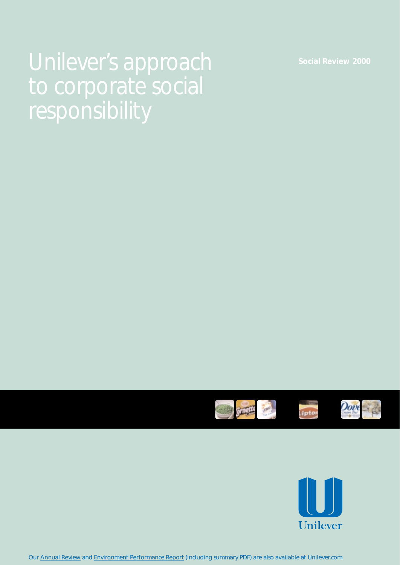# Unilever's approach **Social Review 2000** responsibility





Our [Annual Review](http://www.unilever.com/fi/ra/ra_2000.html) and [Environment Performance Report](http://www.unilever.com/en/ep.html) (including summary PDF) are also available at Unilever.com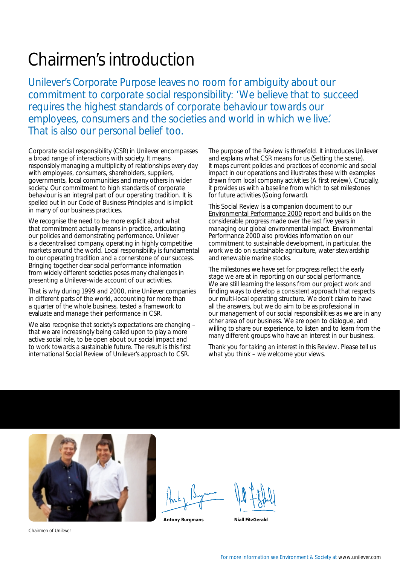### Chairmen's introduction

Unilever's *Corporate Purpose* leaves no room for ambiguity about our commitment to corporate social responsibility: *'We believe that to succeed requires the highest standards of corporate behaviour towards our employees, consumers and the societies and world in which we live.'*  That is also our personal belief too.

Corporate social responsibility (CSR) in Unilever encompasses a broad range of interactions with society. It means responsibly managing a multiplicity of relationships every day with employees, consumers, shareholders, suppliers, governments, local communities and many others in wider society. Our commitment to high standards of corporate behaviour is an integral part of our operating tradition. It is spelled out in our *Code of Business Principles* and is implicit in many of our business practices.

We recognise the need to be more explicit about what that commitment actually means in practice, articulating our policies and demonstrating performance. Unilever is a decentralised company, operating in highly competitive markets around the world. Local responsibility is fundamental to our operating tradition and a cornerstone of our success. Bringing together clear social performance information from widely different societies poses many challenges in presenting a Unilever-wide account of our activities.

That is why during 1999 and 2000, nine Unilever companies in different parts of the world, accounting for more than a quarter of the whole business, tested a framework to evaluate and manage their performance in CSR.

We also recognise that society's expectations are changing – that we are increasingly being called upon to play a more active social role, to be open about our social impact and to work towards a sustainable future. The result is this first international *Social Review* of Unilever's approach to CSR.

The purpose of the *Review* is threefold. It introduces Unilever and explains what CSR means for us *(Setting the scene)*. It maps current policies and practices of economic and social impact in our operations and illustrates these with examples drawn from local company activities *(A first review)*. Crucially, it provides us with a baseline from which to set milestones for future activities *(Going forward)*.

This *Social Review* is a companion document to our *[Environmental Performance 2000](http://www.unilever.com/en/en_opr.html)* report and builds on the considerable progress made over the last five years in managing our global environmental impact. *Environmental Performance 2000* also provides information on our commitment to sustainable development, in particular, the work we do on sustainable agriculture, water stewardship and renewable marine stocks.

The milestones we have set for progress reflect the early stage we are at in reporting on our social performance. We are still learning the lessons from our project work and finding ways to develop a consistent approach that respects our multi-local operating structure. We don't claim to have all the answers, but we do aim to be as professional in our management of our social responsibilities as we are in any other area of our business. We are open to dialogue, and willing to share our experience, to listen and to learn from the many different groups who have an interest in our business.

Thank you for taking an interest in this *Review*. Please tell us what you think – we welcome your views.



Antony Burgmans **Niall FitzGerald** 

Chairmen of Unilever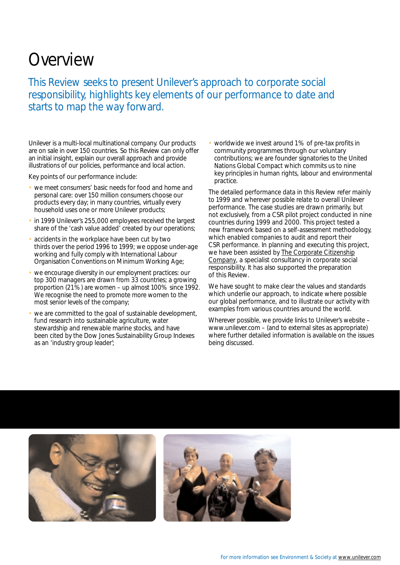### Overview

This *Review* seeks to present Unilever's approach to corporate social responsibility, highlights key elements of our performance to date and starts to map the way forward.

Unilever is a multi-local multinational company. Our products are on sale in over 150 countries. So this *Review* can only offer an initial insight, explain our overall approach and provide illustrations of our policies, performance and local action.

Key points of our performance include:

- we meet consumers' basic needs for food and home and personal care: over 150 million consumers choose our products every day; in many countries, virtually every household uses one or more Unilever products;
- in 1999 Unilever's 255,000 employees received the largest share of the 'cash value added' created by our operations;
- accidents in the workplace have been cut by two thirds over the period 1996 to 1999; we oppose under-age working and fully comply with International Labour Organisation Conventions on Minimum Working Age;
- we encourage diversity in our employment practices: our top 300 managers are drawn from 33 countries; a growing proportion (21%) are women – up almost 100% since 1992. We recognise the need to promote more women to the most senior levels of the company;
- we are committed to the goal of sustainable development, fund research into sustainable agriculture, water stewardship and renewable marine stocks, and have been cited by the Dow Jones Sustainability Group Indexes as an 'industry group leader';

• worldwide we invest around 1% of pre-tax profits in community programmes through our voluntary contributions; we are founder signatories to the United Nations Global Compact which commits us to nine key principles in human rights, labour and environmental practice.

The detailed performance data in this *Review* refer mainly to 1999 and wherever possible relate to overall Unilever performance. The case studies are drawn primarily, but not exclusively, from a CSR pilot project conducted in nine countries during 1999 and 2000. This project tested a new framework based on a self-assessment methodology, which enabled companies to audit and report their CSR performance. In planning and executing this project, we have been assisted by [The Corporate Citizenship](http://www.corporate-citizenship.co.uk/)  [Company,](http://www.corporate-citizenship.co.uk/) a specialist consultancy in corporate social responsibility. It has also supported the preparation of this *Review*.

We have sought to make clear the values and standards which underlie our approach, to indicate where possible our global performance, and to illustrate our activity with examples from various countries around the world.

Wherever possible, we provide links to Unilever's website – www.unilever.com – (and to external sites as appropriate) where further detailed information is available on the issues being discussed.

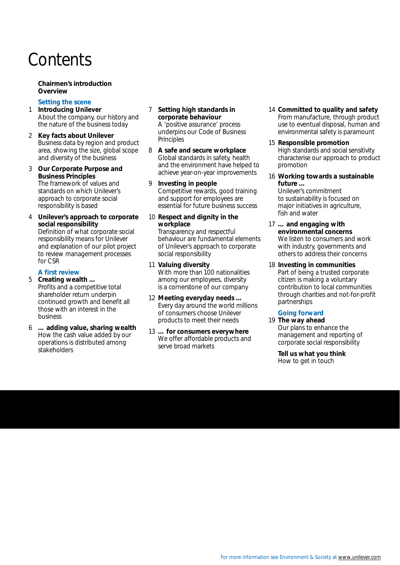### **Contents**

### **Chairmen's introduction Overview**

### *Setting the scene*

- 1 **Introducing Unilever**  About the company, our history and the nature of the business today
- 2 **Key facts about Unilever**  Business data by region and product area, showing the size, global scope and diversity of the business
- 3 **Our** *Corporate Purpose* **and**  *Business Principles*

The framework of values and standards on which Unilever's approach to corporate social responsibility is based

4 **Unilever's approach to corporate social responsibility** 

Definition of what corporate social responsibility means for Unilever and explanation of our pilot project to review management processes for CSR

### *A first review*

5 **Creating wealth …**  Profits and a competitive total shareholder return underpin continued growth and benefit all those with an interest in the business

6 **… adding value, sharing wealth**  How the cash value added by our operations is distributed among stakeholders

### 7 **Setting high standards in corporate behaviour**

A 'positive assurance' process underpins our *Code of Business Principles* 

- 8 **A safe and secure workplace**  Global standards in safety, health and the environment have helped to achieve year-on-year improvements
- 9 **Investing in people**  Competitive rewards, good training and support for employees are essential for future business success
- 10 **Respect and dignity in the workplace**

Transparency and respectful behaviour are fundamental elements of Unilever's approach to corporate social responsibility

- 11 **Valuing diversity**  With more than 100 nationalities among our employees, diversity is a cornerstone of our company
- 12 **Meeting everyday needs …**  Every day around the world millions of consumers choose Unilever products to meet their needs
- 13 **… for consumers everywhere**  We offer affordable products and serve broad markets
- 14 **Committed to quality and safety**  From manufacture, through product use to eventual disposal, human and environmental safety is paramount
- 15 **Responsible promotion**  High standards and social sensitivity characterise our approach to product promotion
- 16 **Working towards a sustainable future …**

Unilever's commitment to sustainability is focused on major initiatives in agriculture, fish and water

- 17 **… and engaging with environmental concerns**  We listen to consumers and work with industry, governments and others to address their concerns
- 18 **Investing in communities**  Part of being a trusted corporate citizen is making a voluntary contribution to local communities through charities and not-for-profit partnerships

### *Going forward*

19 **The way ahead**  Our plans to enhance the management and reporting of corporate social responsibility

**Tell us what you think**  How to get in touch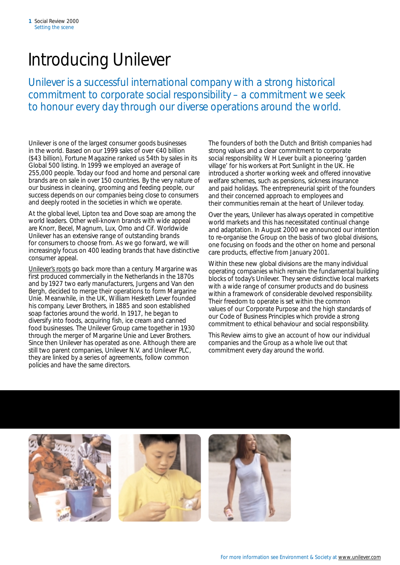### Introducing Unilever

Unilever is a successful international company with a strong historical commitment to corporate social responsibility – a commitment we seek to honour every day through our diverse operations around the world.

Unilever is one of the largest consumer goods businesses in the world. Based on our 1999 sales of over  $\epsilon$ 40 billion (\$43 billion), *Fortune Magazine* ranked us 54th by sales in its Global 500 listing. In 1999 we employed an average of 255,000 people. Today our food and home and personal care brands are on sale in over 150 countries. By the very nature of our business in cleaning, grooming and feeding people, our success depends on our companies being close to consumers and deeply rooted in the societies in which we operate.

At the global level, *Lipton* tea and *Dove* soap are among the world leaders. Other well-known brands with wide appeal are *Knorr*, *Becel*, *Magnum*, *Lux*, *Omo* and *Cif*. Worldwide Unilever has an extensive range of outstanding brands for consumers to choose from. As we go forward, we will increasingly focus on 400 leading brands that have distinctive consumer appeal.

[Unilever's roots](http://www.unilever.com/co/oh.html) go back more than a century. Margarine was first produced commercially in the Netherlands in the 1870s and by 1927 two early manufacturers, Jurgens and Van den Bergh, decided to merge their operations to form Margarine Unie. Meanwhile, in the UK, William Hesketh Lever founded his company, Lever Brothers, in 1885 and soon established soap factories around the world. In 1917, he began to diversify into foods, acquiring fish, ice cream and canned food businesses. The Unilever Group came together in 1930 through the merger of Margarine Unie and Lever Brothers. Since then Unilever has operated as one. Although there are still two parent companies, Unilever N.V. and Unilever PLC, they are linked by a series of agreements, follow common policies and have the same directors.

The founders of both the Dutch and British companies had strong values and a clear commitment to corporate social responsibility. W H Lever built a pioneering 'garden village' for his workers at Port Sunlight in the UK. He introduced a shorter working week and offered innovative welfare schemes, such as pensions, sickness insurance and paid holidays. The entrepreneurial spirit of the founders and their concerned approach to employees and their communities remain at the heart of Unilever today.

Over the years, Unilever has always operated in competitive world markets and this has necessitated continual change and adaptation. In August 2000 we announced our intention to re-organise the Group on the basis of two global divisions, one focusing on foods and the other on home and personal care products, effective from January 2001.

Within these new global divisions are the many individual operating companies which remain the fundamental building blocks of today's Unilever. They serve distinctive local markets with a wide range of consumer products and do business within a framework of considerable devolved responsibility. Their freedom to operate is set within the common values of our *Corporate Purpose* and the high standards of our *Code of Business Principles* which provide a strong commitment to ethical behaviour and social responsibility.

This *Review* aims to give an account of how our individual companies and the Group as a whole live out that commitment every day around the world.

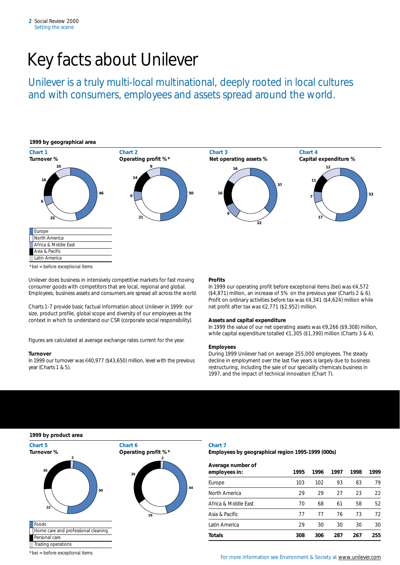## Key facts about Unilever

Unilever is a truly multi-local multinational, deeply rooted in local cultures and with consumers, employees and assets spread around the world.



Unilever does business in intensively competitive markets for fast moving consumer goods with competitors that are local, regional and global. Employees, business assets and consumers are spread all across the world.

Charts 1-7 provide basic factual information about Unilever in 1999: our size, product profile, global scope and diversity of our employees as the context in which to understand our CSR (corporate social responsibility).

Figures are calculated at average exchange rates current for the year.

#### **Turnover**

In 1999 our turnover was  $\epsilon$ 40,977 (\$43,650) million, level with the previous year (Charts 1 & 5).

#### **Profits**

In 1999 our operating profit before exceptional items (bei) was  $\epsilon$ 4,572 (\$4,871) million, an increase of 5% on the previous year (Charts 2 & 6). Profit on ordinary activities before tax was  $\text{\ensuremath{\in}} 4,341$  (\$4,624) million while net profit after tax was €2,771 (\$2,952) million.

#### **Assets and capital expenditure**

In 1999 the value of our net operating assets was €9,266 (\$9,308) million, while capital expenditure totalled  $\epsilon$ 1,305 (\$1,390) million (Charts 3 & 4).

#### **Employees**

During 1999 Unilever had on average 255,000 employees. The steady decline in employment over the last five years is largely due to business restructuring, including the sale of our speciality chemicals business in 1997, and the impact of technical innovation (Chart 7).

| 1999 by product area                  |                          |                   |
|---------------------------------------|--------------------------|-------------------|
| Chart 5                               | Chart 6                  | Chart 7           |
| Turnover %<br>$\overline{\mathbf{2}}$ | Operating profit %*<br>2 | <b>Employ</b>     |
| 26                                    | 35                       | Average<br>employ |
|                                       |                          | Europe            |
| 50                                    |                          | 44<br>North Ar    |
| 22                                    |                          | Africa &          |
|                                       | 19                       | Asia & Pa         |
| Foods                                 |                          | Latin Am          |
| Home care and professional cleaning   |                          |                   |
| Personal care                         |                          | <b>Totals</b>     |
| Trading operations                    |                          |                   |

**1999 by product area** 

**Employees by geographical region 1995-1999 (000s)** 

| 26 <sub>1</sub>                  | 35 | Average number of<br>employees in: | 1995 | 1996 | 1997 | 1998 | 1999 |
|----------------------------------|----|------------------------------------|------|------|------|------|------|
|                                  |    | Europe                             | 103  | 102  | 93   | 83   | 79   |
| 50                               | 44 | North America                      | 29   | 29   | 27   | 23   | 22   |
| 22                               |    | Africa & Middle East               | 70   | 68   | 61   | 58   | 52   |
|                                  | 19 | Asia & Pacific                     | 77   | 77   | 76   | 73   | 72   |
|                                  |    | Latin America                      | 29   | 30   | 30   | 30   | 30   |
| e care and professional cleaning |    | <b>Totals</b>                      | 308  | 306  | 287  | 267  | 255  |
| onal care                        |    |                                    |      |      |      |      |      |

\*bei = before exceptional items For more information see Environment & Society at [www.unilever.com](http://www.unilever.com)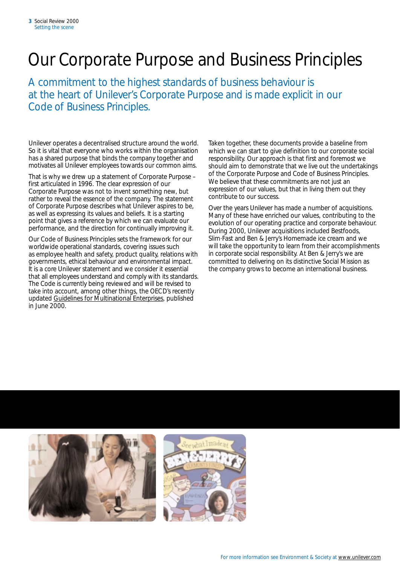### Our *Corporate Purpose* and *Business Principles*

A commitment to the highest standards of business behaviour is at the heart of Unilever's *Corporate Purpose* and is made explicit in our *Code of Business Principles*.

Unilever operates a decentralised structure around the world. So it is vital that everyone who works within the organisation has a shared purpose that binds the company together and motivates all Unilever employees towards our common aims.

That is why we drew up a statement of *Corporate Purpose* – first articulated in 1996. The clear expression of our *Corporate Purpose* was not to invent something new, but rather to reveal the essence of the company. The statement of *Corporate Purpose* describes what Unilever aspires to be, as well as expressing its values and beliefs. It is a starting point that gives a reference by which we can evaluate our performance, and the direction for continually improving it.

Our *Code of Business Principles* sets the framework for our worldwide operational standards, covering issues such as employee health and safety, product quality, relations with governments, ethical behaviour and environmental impact. It is a core Unilever statement and we consider it essential that all employees understand and comply with its standards. The *Code* is currently being reviewed and will be revised to take into account, among other things, the OECD's recently updated *[Guidelines for Multinational Enterprises](http://www.oecd.org//daf/investment/guidelines/mnetext.htm)*, published in June 2000.

Taken together, these documents provide a baseline from which we can start to give definition to our corporate social responsibility. Our approach is that first and foremost we should aim to demonstrate that we live out the undertakings of the *Corporate Purpose* and *Code of Business Principles*. We believe that these commitments are not just an expression of our values, but that in living them out they contribute to our success.

Over the years Unilever has made a number of acquisitions. Many of these have enriched our values, contributing to the evolution of our operating practice and corporate behaviour. During 2000, Unilever acquisitions included Bestfoods, Slim.Fast and Ben & Jerry's Homemade ice cream and we will take the opportunity to learn from their accomplishments in corporate social responsibility. At Ben & Jerry's we are committed to delivering on its distinctive *Social Mission* as the company grows to become an international business.

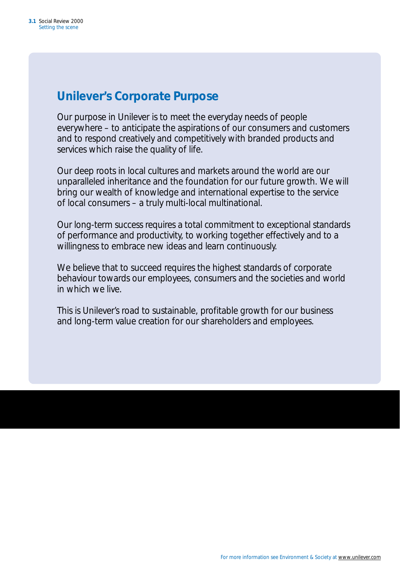### *Unilever's Corporate Purpose*

Our purpose in Unilever is to meet the everyday needs of people everywhere – to anticipate the aspirations of our consumers and customers and to respond creatively and competitively with branded products and services which raise the quality of life.

Our deep roots in local cultures and markets around the world are our unparalleled inheritance and the foundation for our future growth. We will bring our wealth of knowledge and international expertise to the service of local consumers – a truly multi-local multinational.

Our long-term success requires a total commitment to exceptional standards of performance and productivity, to working together effectively and to a willingness to embrace new ideas and learn continuously.

We believe that to succeed requires the highest standards of corporate behaviour towards our employees, consumers and the societies and world in which we live.

This is Unilever's road to sustainable, profitable growth for our business and long-term value creation for our shareholders and employees.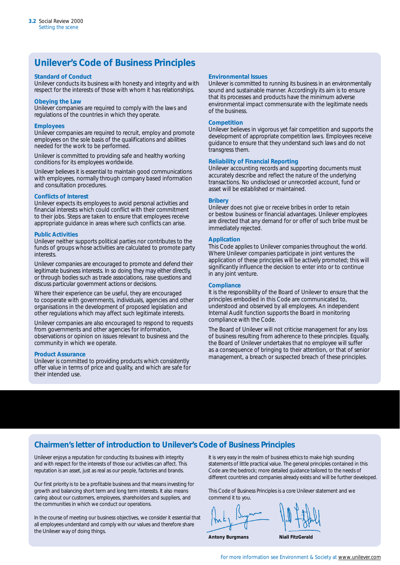### *Unilever's Code of Business Principles*

#### *Standard of Conduct*

Unilever conducts its business with honesty and integrity and with respect for the interests of those with whom it has relationships.

#### *Obeying the Law*

Unilever companies are required to comply with the laws and regulations of the countries in which they operate.

#### *Employees*

Unilever companies are required to recruit, employ and promote employees on the sole basis of the qualifications and abilities needed for the work to be performed.

Unilever is committed to providing safe and healthy working conditions for its employees worldwide.

Unilever believes it is essential to maintain good communications with employees, normally through company based information and consultation procedures.

#### *Conflicts of Interest*

Unilever expects its employees to avoid personal activities and financial interests which could conflict with their commitment to their jobs. Steps are taken to ensure that employees receive appropriate guidance in areas where such conflicts can arise.

#### *Public Activities*

Unilever neither supports political parties nor contributes to the funds of groups whose activities are calculated to promote party interests.

Unilever companies are encouraged to promote and defend their legitimate business interests. In so doing they may either directly, or through bodies such as trade associations, raise questions and discuss particular government actions or decisions.

Where their experience can be useful, they are encouraged to cooperate with governments, individuals, agencies and other organisations in the development of proposed legislation and other regulations which may affect such legitimate interests.

Unilever companies are also encouraged to respond to requests from governments and other agencies for information, observations or opinion on issues relevant to business and the community in which we operate.

#### *Product Assurance*

Unilever is committed to providing products which consistently offer value in terms of price and quality, and which are safe for their intended use.

#### *Environmental Issues*

Unilever is committed to running its business in an environmentally sound and sustainable manner. Accordingly its aim is to ensure that its processes and products have the minimum adverse environmental impact commensurate with the legitimate needs of the business.

#### *Competition*

Unilever believes in vigorous yet fair competition and supports the development of appropriate competition laws. Employees receive guidance to ensure that they understand such laws and do not transgress them.

#### *Reliability of Financial Reporting*

Unilever accounting records and supporting documents must accurately describe and reflect the nature of the underlying transactions. No undisclosed or unrecorded account, fund or asset will be established or maintained.

#### *Bribery*

Unilever does not give or receive bribes in order to retain or bestow business or financial advantages. Unilever employees are directed that any demand for or offer of such bribe must be immediately rejected.

#### *Application*

This Code applies to Unilever companies throughout the world. Where Unilever companies participate in joint ventures the application of these principles will be actively promoted; this will significantly influence the decision to enter into or to continue in any joint venture.

#### *Compliance*

It is the responsibility of the Board of Unilever to ensure that the principles embodied in this Code are communicated to, understood and observed by all employees. An independent Internal Audit function supports the Board in monitoring compliance with the Code.

The Board of Unilever will not criticise management for any loss of business resulting from adherence to these principles. Equally, the Board of Unilever undertakes that no employee will suffer as a consequence of bringing to their attention, or that of senior management, a breach or suspected breach of these principles.

### *Chairmen's letter of introduction to Unilever's Code of Business Principles*

Unilever enjoys a reputation for conducting its business with integrity and with respect for the interests of those our activities can affect. This reputation is an asset, just as real as our people, factories and brands.

Our first priority is to be a profitable business and that means investing for growth and balancing short term and long term interests. It also means caring about our customers, employees, shareholders and suppliers, and the communities in which we conduct our operations.

In the course of meeting our business objectives, we consider it essential that all employees understand and comply with our values and therefore share the Unilever way of doing things.

It is very easy in the realm of business ethics to make high sounding statements of little practical value. The general principles contained in this Code are the bedrock; more detailed guidance tailored to the needs of different countries and companies already exists and will be further developed.

This Code of Business Principles is a core Unilever statement and we commend it to you.

**Antony Burgmans Miall FitzGerald**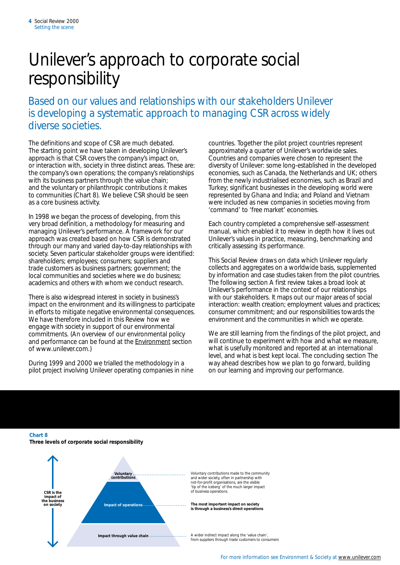### Unilever's approach to corporate social responsibility

Based on our values and relationships with our stakeholders Unilever is developing a systematic approach to managing CSR across widely diverse societies.

The definitions and scope of CSR are much debated. The starting point we have taken in developing Unilever's approach is that CSR covers the company's impact on, or interaction with, society in three distinct areas. These are: the company's own operations; the company's relationships with its business partners through the value chain; and the voluntary or philanthropic contributions it makes to communities (Chart 8). We believe CSR should be seen as a core business activity.

In 1998 we began the process of developing, from this very broad definition, a methodology for measuring and managing Unilever's performance. A framework for our approach was created based on how CSR is demonstrated through our many and varied day-to-day relationships with society. Seven particular stakeholder groups were identified: shareholders; employees; consumers; suppliers and trade customers as business partners; government; the local communities and societies where we do business; academics and others with whom we conduct research.

There is also widespread interest in society in business's impact on the environment and its willingness to participate in efforts to mitigate negative environmental consequences. We have therefore included in this *Review* how we engage with society in support of our environmental commitments. (An overview of our environmental policy and performance can be found at the [Environment](http://www.unilever.com/en/en.html) section of www.unilever.com.)

During 1999 and 2000 we trialled the methodology in a pilot project involving Unilever operating companies in nine countries. Together the pilot project countries represent approximately a quarter of Unilever's worldwide sales. Countries and companies were chosen to represent the diversity of Unilever: some long-established in the developed economies, such as Canada, the Netherlands and UK; others from the newly industrialised economies, such as Brazil and Turkey; significant businesses in the developing world were represented by Ghana and India; and Poland and Vietnam were included as new companies in societies moving from 'command' to 'free market' economies.

Each country completed a comprehensive self-assessment manual, which enabled it to review in depth how it lives out Unilever's values in practice, measuring, benchmarking and critically assessing its performance.

This *Social Review* draws on data which Unilever regularly collects and aggregates on a worldwide basis, supplemented by information and case studies taken from the pilot countries. The following section *A first review* takes a broad look at Unilever's performance in the context of our relationships with our stakeholders. It maps out our major areas of social interaction: wealth creation; employment values and practices; consumer commitment; and our responsibilities towards the environment and the communities in which we operate.

We are still learning from the findings of the pilot project, and will continue to experiment with how and what we measure, what is usefully monitored and reported at an international level, and what is best kept local. The concluding section *The way ahead* describes how we plan to go forward, building on our learning and improving our performance.

**Chart 8** 

**Three levels of corporate social responsibility** 

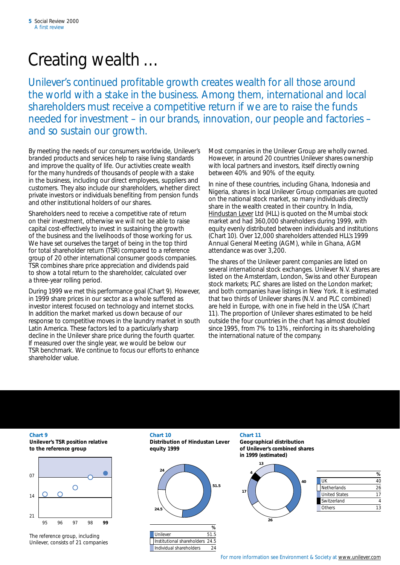## Creating wealth …

Unilever's continued profitable growth creates wealth for all those around the world with a stake in the business. Among them, international and local shareholders must receive a competitive return if we are to raise the funds needed for investment – in our brands, innovation, our people and factories – and so sustain our growth.

By meeting the needs of our consumers worldwide, Unilever's branded products and services help to raise living standards and improve the quality of life. Our activities create wealth for the many hundreds of thousands of people with a stake in the business, including our direct employees, suppliers and customers. They also include our shareholders, whether direct private investors or individuals benefiting from pension funds and other institutional holders of our shares.

Shareholders need to receive a competitive rate of return on their investment, otherwise we will not be able to raise capital cost-effectively to invest in sustaining the growth of the business and the livelihoods of those working for us. We have set ourselves the target of being in the top third for total shareholder return (TSR) compared to a reference group of 20 other international consumer goods companies. TSR combines share price appreciation and dividends paid to show a total return to the shareholder, calculated over a three-year rolling period.

During 1999 we met this performance goal (Chart 9). However, in 1999 share prices in our sector as a whole suffered as investor interest focused on technology and internet stocks. In addition the market marked us down because of our response to competitive moves in the laundry market in south Latin America. These factors led to a particularly sharp decline in the Unilever share price during the fourth quarter. If measured over the single year, we would be below our TSR benchmark. We continue to focus our efforts to enhance shareholder value.

Most companies in the Unilever Group are wholly owned. However, in around 20 countries Unilever shares ownership with local partners and investors, itself directly owning between 40% and 90% of the equity.

In nine of these countries, including Ghana, Indonesia and Nigeria, shares in local Unilever Group companies are quoted on the national stock market, so many individuals directly share in the wealth created in their country. In India, [Hindustan Lever](http://www.hll.com/) Ltd (HLL) is quoted on the Mumbai stock market and had 360,000 shareholders during 1999, with equity evenly distributed between individuals and institutions (Chart 10). Over 12,000 shareholders attended HLL's 1999 Annual General Meeting (AGM), while in Ghana, AGM attendance was over 3,200.

The shares of the Unilever parent companies are listed on several international stock exchanges. Unilever N.V. shares are listed on the Amsterdam, London, Swiss and other European stock markets; PLC shares are listed on the London market; and both companies have listings in New York. It is estimated that two thirds of Unilever shares (N.V. and PLC combined) are held in Europe, with one in five held in the USA (Chart 11). The proportion of Unilever shares estimated to be held outside the four countries in the chart has almost doubled since 1995, from 7% to 13%, reinforcing in its shareholding the international nature of the company.



The reference group, including Unilever, consists of 21 companies

**Chart 9 Chart 10 Chart 11 Unilever's TSR position relative Distribution of Hindustan Lever Geographical distribution to the reference group equity 1999 of Unilever's combined shares** 



Unilever 51.5 Institutional shareholders 24.5 Individual shareholders 24

**in 1999 (estimated)** 



| UK                   |    |
|----------------------|----|
| Netherlands          | 26 |
| <b>United States</b> |    |
| Switzerland          |    |
| Others               | 13 |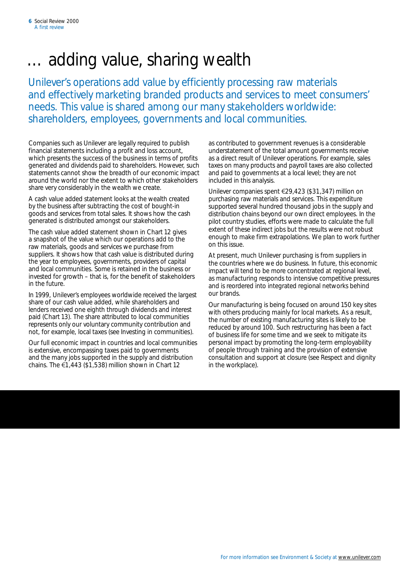### adding value, sharing wealth

Unilever's operations add value by efficiently processing raw materials and effectively marketing branded products and services to meet consumers' needs. This value is shared among our many stakeholders worldwide: shareholders, employees, governments and local communities.

Companies such as Unilever are legally required to publish financial statements including a profit and loss account, which presents the success of the business in terms of profits generated and dividends paid to shareholders. However, such statements cannot show the breadth of our economic impact around the world nor the extent to which other stakeholders share very considerably in the wealth we create.

A cash value added statement looks at the wealth created by the business after subtracting the cost of bought-in goods and services from total sales. It shows how the cash generated is distributed amongst our stakeholders.

The cash value added statement shown in Chart 12 gives a snapshot of the value which our operations add to the raw materials, goods and services we purchase from suppliers. It shows how that cash value is distributed during the year to employees, governments, providers of capital and local communities. Some is retained in the business or invested for growth – that is, for the benefit of stakeholders in the future.

In 1999, Unilever's employees worldwide received the largest share of our cash value added, while shareholders and lenders received one eighth through dividends and interest paid (Chart 13). The share attributed to local communities represents only our voluntary community contribution and not, for example, local taxes (see *Investing in communities*).

Our full economic impact in countries and local communities is extensive, encompassing taxes paid to governments and the many jobs supported in the supply and distribution chains. The  $\epsilon$ 1,443 (\$1,538) million shown in Chart 12

as contributed to government revenues is a considerable understatement of the total amount governments receive as a direct result of Unilever operations. For example, sales taxes on many products and payroll taxes are also collected and paid to governments at a local level; they are not included in this analysis.

Unilever companies spent €29,423 (\$31,347) million on purchasing raw materials and services. This expenditure supported several hundred thousand jobs in the supply and distribution chains beyond our own direct employees. In the pilot country studies, efforts were made to calculate the full extent of these indirect jobs but the results were not robust enough to make firm extrapolations. We plan to work further on this issue.

At present, much Unilever purchasing is from suppliers in the countries where we do business. In future, this economic impact will tend to be more concentrated at regional level, as manufacturing responds to intensive competitive pressures and is reordered into integrated regional networks behind our brands.

Our manufacturing is being focused on around 150 key sites with others producing mainly for local markets. As a result, the number of existing manufacturing sites is likely to be reduced by around 100. Such restructuring has been a fact of business life for some time and we seek to mitigate its personal impact by promoting the long-term employability of people through training and the provision of extensive consultation and support at closure (see *Respect and dignity in the workplace*).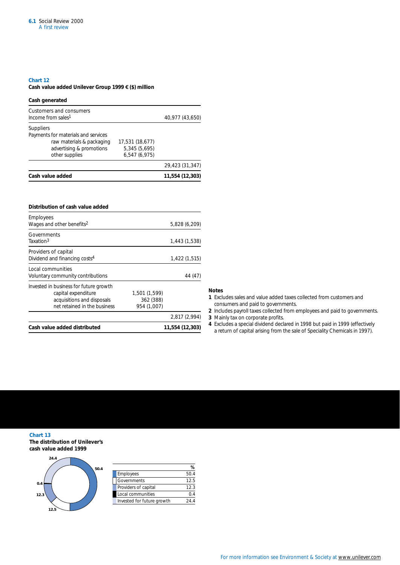#### **Chart 12**

### **Cash value added Unilever Group 1999** 5 **(\$) million**

| Cash generated                                                                                                                     |                                                   |                 |
|------------------------------------------------------------------------------------------------------------------------------------|---------------------------------------------------|-----------------|
| Customers and consumers<br>Income from sales <sup>1</sup>                                                                          |                                                   | 40,977 (43,650) |
| <b>Suppliers</b><br>Payments for materials and services<br>raw materials & packaging<br>advertising & promotions<br>other supplies | 17,531 (18,677)<br>5,345 (5,695)<br>6,547 (6,975) |                 |
|                                                                                                                                    |                                                   | 29,423 (31,347) |
| Cash value added                                                                                                                   |                                                   | 11,554 (12,303) |

| Distribution of cash value added                                                                                            |                                           |                 |
|-----------------------------------------------------------------------------------------------------------------------------|-------------------------------------------|-----------------|
| Employees<br>Wages and other benefits <sup>2</sup>                                                                          |                                           | 5,828 (6,209)   |
| Governments<br>Taxation <sup>3</sup>                                                                                        |                                           | 1,443 (1,538)   |
| Providers of capital<br>Dividend and financing costs <sup>4</sup>                                                           |                                           | 1,422 (1,515)   |
| Local communities<br>Voluntary community contributions                                                                      |                                           | 44 (47)         |
| Invested in business for future growth<br>capital expenditure<br>acquisitions and disposals<br>net retained in the business | 1,501 (1,599)<br>362 (388)<br>954 (1,007) |                 |
|                                                                                                                             |                                           | 2,817 (2,994)   |
| Cash value added distributed                                                                                                |                                           | 11,554 (12,303) |

### **Notes**

- **1** Excludes sales and value added taxes collected from customers and consumers and paid to governments.
- **2** Includes payroll taxes collected from employees and paid to governments.
- **3** Mainly tax on corporate profits.
- **4** Excludes a special dividend declared in 1998 but paid in 1999 (effectively a return of capital arising from the sale of Speciality Chemicals in 1997).

**Chart 13 The distribution of Unilever's cash value added 1999** 



| 50.4 |                            |      |
|------|----------------------------|------|
|      | Employees                  | 50.4 |
|      | Governments                | 12.5 |
|      | Providers of capital       | 12.3 |
|      | Local communities          |      |
|      | Invested for future growth | 244  |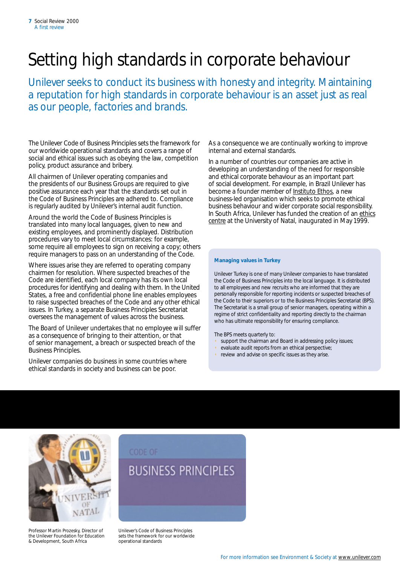## Setting high standards in corporate behaviour

Unilever seeks to conduct its business with honesty and integrity. Maintaining a reputation for high standards in corporate behaviour is an asset just as real as our people, factories and brands.

The Unilever *Code of Business Principles* sets the framework for our worldwide operational standards and covers a range of social and ethical issues such as obeying the law, competition policy, product assurance and bribery.

All chairmen of Unilever operating companies and the presidents of our Business Groups are required to give positive assurance each year that the standards set out in the *Code of Business Principles* are adhered to. Compliance is regularly audited by Unilever's internal audit function.

Around the world the *Code of Business Principles* is translated into many local languages, given to new and existing employees, and prominently displayed. Distribution procedures vary to meet local circumstances: for example, some require all employees to sign on receiving a copy; others require managers to pass on an understanding of the *Code*.

Where issues arise they are referred to operating company chairmen for resolution. Where suspected breaches of the *Code* are identified, each local company has its own local procedures for identifying and dealing with them. In the United States, a free and confidential phone line enables employees to raise suspected breaches of the *Code* and any other ethical issues. In Turkey, a separate Business Principles Secretariat oversees the management of values across the business.

The Board of Unilever undertakes that no employee will suffer as a consequence of bringing to their attention, or that of senior management, a breach or suspected breach of the *Business Principles*.

Unilever companies do business in some countries where ethical standards in society and business can be poor.

As a consequence we are continually working to improve internal and external standards.

In a number of countries our companies are active in developing an understanding of the need for responsible and ethical corporate behaviour as an important part of social development. For example, in Brazil Unilever has become a founder member of [Instituto Ethos,](http://www.ethos.org.br/) a new business-led organisation which seeks to promote ethical business behaviour and wider corporate social responsibility. In South Africa, Unilever has funded the creation of an ethics [centre](http://www.unp.ac.za/ethics/centre.htm) at the University of Natal, inaugurated in May 1999.

### *Managing values in Turkey*

Unilever Turkey is one of many Unilever companies to have translated the *Code of Business Principle*s into the local language. It is distributed to all employees and new recruits who are informed that they are personally responsible for reporting incidents or suspected breaches of the *Code* to their superiors or to the Business Principles Secretariat (BPS). The Secretariat is a small group of senior managers, operating within a regime of strict confidentiality and reporting directly to the chairman who has ultimate responsibility for ensuring compliance.

The BPS meets quarterly to:

- support the chairman and Board in addressing policy issues;
- evaluate audit reports from an ethical perspective;
- review and advise on specific issues as they arise.



Professor Martin Prozesky, Director of the Unilever Foundation for Education & Development, South Africa

### **BUSINESS PRINCIPLES**

Unilever's *Code of Business Principles*  sets the framework for our worldwide operational standards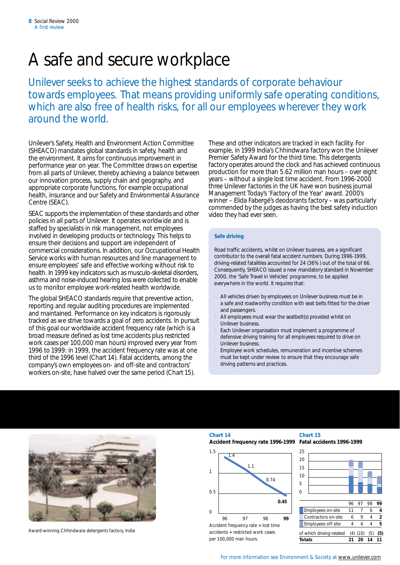### A safe and secure workplace

Unilever seeks to achieve the highest standards of corporate behaviour towards employees. That means providing uniformly safe operating conditions, which are also free of health risks, for all our employees wherever they work around the world.

Unilever's Safety, Health and Environment Action Committee (SHEACO) mandates global standards in safety, health and the environment. It aims for continuous improvement in performance year on year. The Committee draws on expertise from all parts of Unilever, thereby achieving a balance between our innovation process, supply chain and geography, and appropriate corporate functions, for example occupational health, insurance and our Safety and Environmental Assurance Centre (SEAC).

SEAC supports the implementation of these standards and other policies in all parts of Unilever. It operates worldwide and is staffed by specialists in risk management, not employees involved in developing products or technology. This helps to ensure their decisions and support are independent of commercial considerations. In addition, our Occupational Health Service works with human resources and line management to ensure employees' safe and effective working without risk to health. In 1999 key indicators such as musculo-skeletal disorders, asthma and noise-induced hearing loss were collected to enable us to monitor employee work-related health worldwide.

The global SHEACO standards require that preventive action, reporting and regular auditing procedures are implemented and maintained. Performance on key indicators is rigorously tracked as we strive towards a goal of zero accidents. In pursuit of this goal our worldwide accident frequency rate (which is a broad measure defined as lost time accidents plus restricted work cases per 100,000 man hours) improved every year from 1996 to 1999: in 1999, the accident frequency rate was at one third of the 1996 level (Chart 14). Fatal accidents, among the company's own employees on- and off-site and contractors' workers on-site, have halved over the same period (Chart 15).

These and other indicators are tracked in each facility. For example, in 1999 India's Chhindwara factory won the Unilever Premier Safety Award for the third time. This detergents factory operates around the clock and has achieved continuous production for more than 5.62 million man hours – over eight years – without a single lost time accident. From 1996-2000 three Unilever factories in the UK have won business journal *Management Today*'s 'Factory of the Year' award. 2000's winner – Elida Fabergé's deodorants factory – was particularly commended by the judges as having the best safety induction video they had ever seen.

### *Safe driving*

Road traffic accidents, whilst on Unilever business, are a significant contributor to the overall fatal accident numbers. During 1996-1999, driving-related fatalities accounted for 24 (36%) out of the total of 66. Consequently, SHEACO issued a new mandatory standard in November 2000, the 'Safe Travel in Vehicles' programme, to be applied everywhere in the world. It requires that:

- All vehicles driven by employees on Unilever business must be in a safe and roadworthy condition with seat belts fitted for the driver and passengers.
- All employees must wear the seatbelt(s) provided whilst on Unilever business.
- Each Unilever organisation must implement a programme of defensive driving training for all employees required to drive on Unilever business.
- Employee work schedules, remuneration and incentive schemes must be kept under review to ensure that they encourage safe driving patterns and practices.



Award-winning Chhindwara detergents factory, India

### **Chart 14 Chart 15**

**Accident frequency rate 1996-1999 Fatal accidents 1996-1999** 



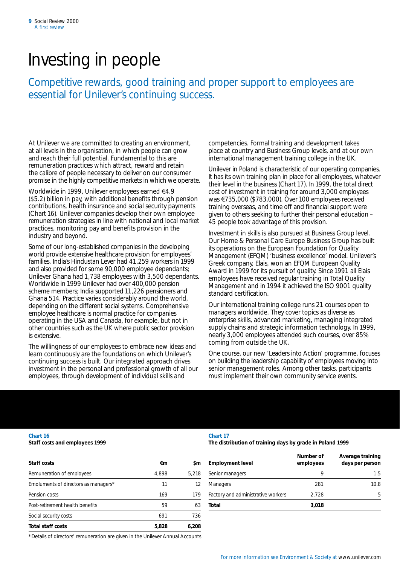### Investing in people

Competitive rewards, good training and proper support to employees are essential for Unilever's continuing success.

At Unilever we are committed to creating an environment, at all levels in the organisation, in which people can grow and reach their full potential. Fundamental to this are remuneration practices which attract, reward and retain the calibre of people necessary to deliver on our consumer promise in the highly competitive markets in which we operate.

Worldwide in 1999, Unilever employees earned  $\notin$  4.9 (\$5.2) billion in pay, with additional benefits through pension contributions, health insurance and social security payments (Chart 16). Unilever companies develop their own employee remuneration strategies in line with national and local market practices, monitoring pay and benefits provision in the industry and beyond.

Some of our long-established companies in the developing world provide extensive healthcare provision for employees' families. India's Hindustan Lever had 41,259 workers in 1999 and also provided for some 90,000 employee dependants; Unilever Ghana had 1,738 employees with 3,500 dependants. Worldwide in 1999 Unilever had over 400,000 pension scheme members; India supported 11,226 pensioners and Ghana 514. Practice varies considerably around the world, depending on the different social systems. Comprehensive employee healthcare is normal practice for companies operating in the USA and Canada, for example, but not in other countries such as the UK where public sector provision is extensive.

The willingness of our employees to embrace new ideas and learn continuously are the foundations on which Unilever's continuing success is built. Our integrated approach drives investment in the personal and professional growth of all our employees, through development of individual skills and

competencies. Formal training and development takes place at country and Business Group levels, and at our own international management training college in the UK.

Unilever in Poland is characteristic of our operating companies. It has its own training plan in place for all employees, whatever their level in the business (Chart 17). In 1999, the total direct cost of investment in training for around 3,000 employees was  $\text{\textsterling}735,000$  (\$783,000). Over 100 employees received training overseas, and time off and financial support were given to others seeking to further their personal education – 45 people took advantage of this provision.

Investment in skills is also pursued at Business Group level. Our Home & Personal Care Europe Business Group has built its operations on the European Foundation for Quality Management (EFQM) 'business excellence' model. Unilever's Greek company, Elais, won an EFQM European Quality Award in 1999 for its pursuit of quality. Since 1991 all Elais employees have received regular training in Total Quality Management and in 1994 it achieved the ISO 9001 quality standard certification.

Our international training college runs 21 courses open to managers worldwide. They cover topics as diverse as enterprise skills, advanced marketing, managing integrated supply chains and strategic information technology. In 1999, nearly 3,000 employees attended such courses, over 85% coming from outside the UK.

One course, our new 'Leaders into Action' programme, focuses on building the leadership capability of employees moving into senior management roles. Among other tasks, participants must implement their own community service events.

### **Chart 16 Chart 17**

**Staff costs and employees 1999 The distribution of training days by grade in Poland 1999** 

| Staff costs                          | €m    | \$m   | <b>Employment level</b>            | Number of<br>employees | Average training<br>days per person |
|--------------------------------------|-------|-------|------------------------------------|------------------------|-------------------------------------|
| Remuneration of employees            | 4.898 | 5.218 | Senior managers                    |                        | 1.5                                 |
| Emoluments of directors as managers* | 11    | 12    | <b>Managers</b>                    | 281                    | 10.8                                |
| Pension costs                        | 169   | 179   | Factory and administrative workers | 2.728                  | 5                                   |
| Post-retirement health benefits      | 59    | 63    | Total                              | 3.018                  |                                     |
| Social security costs                | 691   | 736   |                                    |                        |                                     |
| <b>Total staff costs</b>             | 5,828 | 6,208 |                                    |                        |                                     |

*\*Details of directors' remuneration are given in the Unilever Annual Accounts*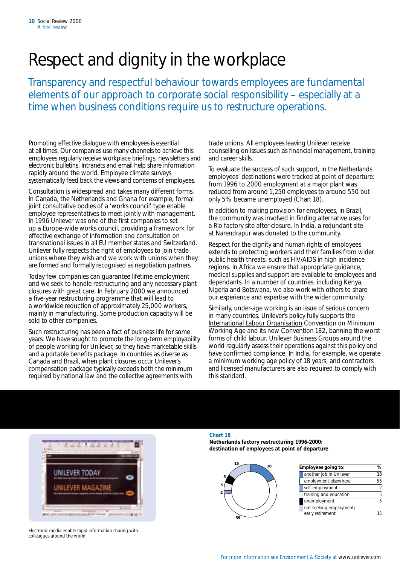## Respect and dignity in the workplace

Transparency and respectful behaviour towards employees are fundamental elements of our approach to corporate social responsibility – especially at a time when business conditions require us to restructure operations.

Promoting effective dialogue with employees is essential at all times. Our companies use many channels to achieve this: employees regularly receive workplace briefings, newsletters and electronic bulletins. Intranets and email help share information rapidly around the world. Employee climate surveys systematically feed back the views and concerns of employees.

Consultation is widespread and takes many different forms. In Canada, the Netherlands and Ghana for example, formal joint consultative bodies of a 'works council' type enable employee representatives to meet jointly with management. In 1996 Unilever was one of the first companies to set up a Europe-wide works council, providing a framework for effective exchange of information and consultation on transnational issues in all EU member states and Switzerland. Unilever fully respects the right of employees to join trade unions where they wish and we work with unions when they are formed and formally recognised as negotiation partners.

Today few companies can guarantee lifetime employment and we seek to handle restructuring and any necessary plant closures with great care. In February 2000 we announced a five-year restructuring programme that will lead to a worldwide reduction of approximately 25,000 workers, mainly in manufacturing. Some production capacity will be sold to other companies.

Such restructuring has been a fact of business life for some years. We have sought to promote the long-term employability of people working for Unilever, so they have marketable skills and a portable benefits package. In countries as diverse as Canada and Brazil, when plant closures occur Unilever's compensation package typically exceeds both the minimum required by national law and the collective agreements with

trade unions. All employees leaving Unilever receive counselling on issues such as financial management, training and career skills.

To evaluate the success of such support, in the Netherlands employees' destinations were tracked at point of departure: from 1996 to 2000 employment at a major plant was reduced from around 1,250 employees to around 550 but only 5% became unemployed (Chart 18).

In addition to making provision for employees, in Brazil, the community was involved in finding alternative uses for a Rio factory site after closure. In India, a redundant site at Narendrapur was donated to the community.

Respect for the dignity and human rights of employees extends to protecting workers and their families from wider public health threats, such as HIV/AIDS in high incidence regions. In Africa we ensure that appropriate guidance, medical supplies and support are available to employees and dependants. In a number of countries, including Kenya, [Nigeria](http://www.unilever.com/so/cs/nig.html) and [Botswana,](http://www.unilever.com/so/cs/aids.html) we also work with others to share our experience and expertise with the wider community.

Similarly, under-age working is an issue of serious concern in many countries. Unilever's policy fully supports the [International Labour Organisation](http://www.ilo.org/public/english/standards/ipec/ratification/convention/text.htm) Convention on Minimum Working Age and its new Convention 182, banning the worst forms of child labour. Unilever Business Groups around the world regularly assess their operations against this policy and have confirmed compliance. In India, for example, we operate a minimum working age policy of 18 years, and contractors and licensed manufacturers are also required to comply with this standard.



Electronic media enable rapid information sharing with colleagues around the world

### **Chart 18**

**Netherlands factory restructuring 1996-2000: destination of employees at point of departure** 



| 15<br>18 | Employees going to:                         | ℅   |
|----------|---------------------------------------------|-----|
|          | another job in Unilever                     | 18  |
|          | employment elsewhere                        | 55  |
|          | self-employment                             |     |
|          | training and education                      |     |
|          | unemployment                                |     |
|          | not seeking employment/<br>early retirement | 15. |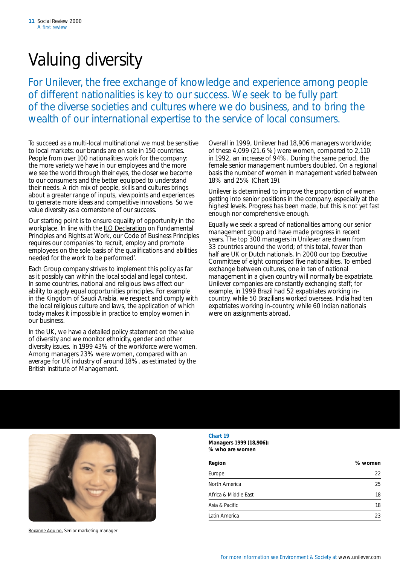## Valuing diversity

For Unilever, the free exchange of knowledge and experience among people of different nationalities is key to our success. We seek to be fully part of the diverse societies and cultures where we do business, and to bring the wealth of our international expertise to the service of local consumers.

To succeed as a multi-local multinational we must be sensitive to local markets: our brands are on sale in 150 countries. People from over 100 nationalities work for the company: the more variety we have in our employees and the more we see the world through their eyes, the closer we become to our consumers and the better equipped to understand their needs. A rich mix of people, skills and cultures brings about a greater range of inputs, viewpoints and experiences to generate more ideas and competitive innovations. So we value diversity as a cornerstone of our success.

Our starting point is to ensure equality of opportunity in the workplace. In line with the **ILO Declaration** on Fundamental Principles and Rights at Work, our *Code of Business Principles*  requires our companies 'to recruit, employ and promote employees on the sole basis of the qualifications and abilities needed for the work to be performed'.

Each Group company strives to implement this policy as far as it possibly can within the local social and legal context. In some countries, national and religious laws affect our ability to apply equal opportunities principles. For example in the Kingdom of Saudi Arabia, we respect and comply with the local religious culture and laws, the application of which today makes it impossible in practice to employ women in our business.

In the UK, we have a detailed policy statement on the value of diversity and we monitor ethnicity, gender and other diversity issues. In 1999 43% of the workforce were women. Among managers 23% were women, compared with an average for UK industry of around 18%, as estimated by the British Institute of Management.

Overall in 1999, Unilever had 18,906 managers worldwide; of these 4,099 (21.6 %) were women, compared to 2,110 in 1992, an increase of 94%. During the same period, the female senior management numbers doubled. On a regional basis the number of women in management varied between 18% and 25% (Chart 19).

Unilever is determined to improve the proportion of women getting into senior positions in the company, especially at the highest levels. Progress has been made, but this is not yet fast enough nor comprehensive enough.

Equally we seek a spread of nationalities among our senior management group and have made progress in recent years. The top 300 managers in Unilever are drawn from 33 countries around the world; of this total, fewer than half are UK or Dutch nationals. In 2000 our top Executive Committee of eight comprised five nationalities. To embed exchange between cultures, one in ten of national management in a given country will normally be expatriate. Unilever companies are constantly exchanging staff; for example, in 1999 Brazil had 52 expatriates working incountry, while 50 Brazilians worked overseas. India had ten expatriates working in-country, while 60 Indian nationals were on assignments abroad.



[Roxanne Aquino,](http://www.unilever.com/ca/em/ra.html) Senior marketing manager

### **Chart 19**

**Managers 1999 (18,906): % who are women** 

| Region               | % women |
|----------------------|---------|
| Europe               | 22      |
| North America        | 25      |
| Africa & Middle Fast | 18      |
| Asia & Pacific       | 18      |
| Latin America        | 23      |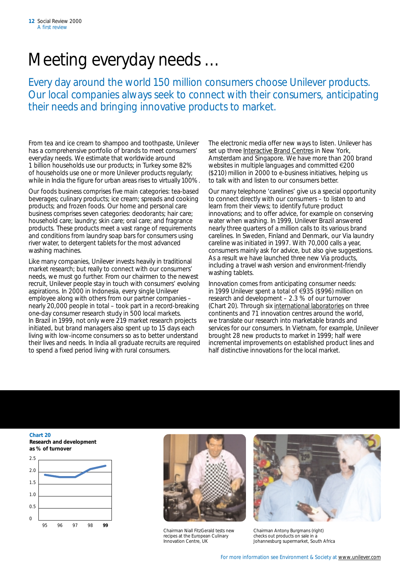### Meeting everyday needs …

Every day around the world 150 million consumers choose Unilever products. Our local companies always seek to connect with their consumers, anticipating their needs and bringing innovative products to market.

From tea and ice cream to shampoo and toothpaste, Unilever has a comprehensive portfolio of brands to meet consumers' everyday needs. We estimate that worldwide around 1 billion households use our products; in Turkey some 82% of households use one or more Unilever products regularly; while in India the figure for urban areas rises to virtually 100%.

Our foods business comprises five main categories: tea-based beverages; culinary products; ice cream; spreads and cooking products; and frozen foods. Our home and personal care business comprises seven categories: deodorants; hair care; household care; laundry; skin care; oral care; and fragrance products. These products meet a vast range of requirements and conditions from laundry soap bars for consumers using river water, to detergent tablets for the most advanced washing machines.

Like many companies, Unilever invests heavily in traditional market research; but really to connect with our consumers' needs, we must go further. From our chairmen to the newest recruit, Unilever people stay in touch with consumers' evolving aspirations. In 2000 in Indonesia, every single Unilever employee along with others from our partner companies – nearly 20,000 people in total – took part in a record-breaking one-day consumer research study in 500 local markets. In Brazil in 1999, not only were 219 market research projects initiated, but brand managers also spent up to 15 days each living with low-income consumers so as to better understand their lives and needs. In India all graduate recruits are required to spend a fixed period living with rural consumers.

The electronic media offer new ways to listen. Unilever has set up three [Interactive Brand Centres](http://www.unilever.com/br/co_in.html) in New York, Amsterdam and Singapore. We have more than 200 brand websites in multiple languages and committed  $\epsilon$ 200 (\$210) million in 2000 to e-business initiatives, helping us to talk with and listen to our consumers better.

Our many telephone 'carelines' give us a special opportunity to connect directly with our consumers – to listen to and learn from their views; to identify future product innovations; and to offer advice, for example on conserving water when washing. In 1999, Unilever Brazil answered nearly three quarters of a million calls to its various brand carelines. In Sweden, Finland and Denmark, our *Via* laundry careline was initiated in 1997. With 70,000 calls a year, consumers mainly ask for advice, but also give suggestions. As a result we have launched three new *Via* products, including a travel wash version and environment-friendly washing tablets.

Innovation comes from anticipating consumer needs: in 1999 Unilever spent a total of  $\epsilon$ 935 (\$996) million on research and development – 2.3 % of our turnover (Chart 20). Through six [international laboratories](http://www.unilever.com/br/ti_rc.html) on three continents and 71 innovation centres around the world, we translate our research into marketable brands and services for our consumers. In Vietnam, for example, Unilever brought 28 new products to market in 1999; half were incremental improvements on established product lines and half distinctive innovations for the local market.

#### **Chart 20 Research and development as % of turnover**





Chairman Niall FitzGerald tests new recipes at the European Culinary Innovation Centre, UK



Chairman Antony Burgmans (right) checks out products on sale in a Johannesburg supermarket, South Africa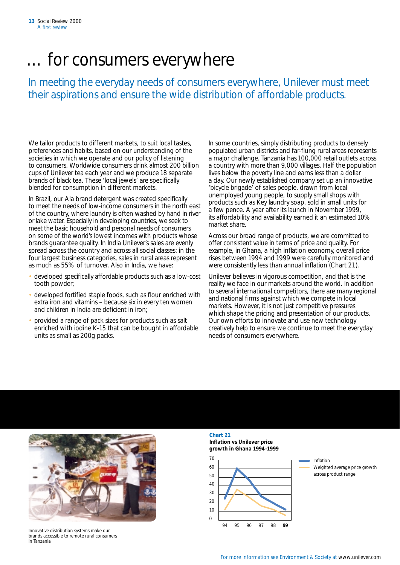### … for consumers everywhere

In meeting the everyday needs of consumers everywhere, Unilever must meet their aspirations and ensure the wide distribution of affordable products.

We tailor products to different markets, to suit local tastes, preferences and habits, based on our understanding of the societies in which we operate and our policy of listening to consumers. Worldwide consumers drink almost 200 billion cups of Unilever tea each year and we produce 18 separate brands of black tea. These 'local jewels' are specifically blended for consumption in different markets.

In Brazil, our *Ala* brand detergent was created specifically to meet the needs of low-income consumers in the north east of the country, where laundry is often washed by hand in river or lake water. Especially in developing countries, we seek to meet the basic household and personal needs of consumers on some of the world's lowest incomes with products whose brands guarantee quality. In India Unilever's sales are evenly spread across the country and across all social classes: in the four largest business categories, sales in rural areas represent as much as 55% of turnover. Also in India, we have:

- developed specifically affordable products such as a low-cost tooth powder;
- developed fortified staple foods, such as flour enriched with extra iron and vitamins – because six in every ten women and children in India are deficient in iron;
- provided a range of pack sizes for products such as salt enriched with iodine K-15 that can be bought in affordable units as small as 200g packs.

In some countries, simply distributing products to densely populated urban districts and far-flung rural areas represents a major challenge. Tanzania has 100,000 retail outlets across a country with more than 9,000 villages. Half the population lives below the poverty line and earns less than a dollar a day. Our newly established company set up an innovative 'bicycle brigade' of sales people, drawn from local unemployed young people, to supply small shops with products such as *Key* laundry soap, sold in small units for a few pence. A year after its launch in November 1999, its affordability and availability earned it an estimated 10% market share.

Across our broad range of products, we are committed to offer consistent value in terms of price and quality. For example, in Ghana, a high inflation economy, overall price rises between 1994 and 1999 were carefully monitored and were consistently less than annual inflation (Chart 21).

Unilever believes in vigorous competition, and that is the reality we face in our markets around the world. In addition to several international competitors, there are many regional and national firms against which we compete in local markets. However, it is not just competitive pressures which shape the pricing and presentation of our products. Our own efforts to innovate and use new technology creatively help to ensure we continue to meet the everyday needs of consumers everywhere.



Innovative distribution systems make our brands accessible to remote rural consumers in Tanzania

### **Chart 21**

**Inflation vs Unilever price growth in Ghana 1994 -1999** 

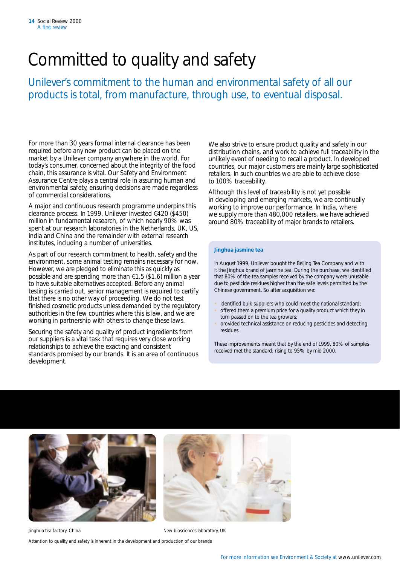### Committed to quality and safety

Unilever's commitment to the human and environmental safety of all our products is total, from manufacture, through use, to eventual disposal.

For more than 30 years formal internal clearance has been required before any new product can be placed on the market by a Unilever company anywhere in the world. For today's consumer, concerned about the integrity of the food chain, this assurance is vital. Our Safety and Environment Assurance Centre plays a central role in assuring human and environmental safety, ensuring decisions are made regardless of commercial considerations.

A major and continuous research programme underpins this clearance process. In 1999, Unilever invested €420 (\$450) million in fundamental research, of which nearly 90% was spent at our research laboratories in the Netherlands, UK, US, India and China and the remainder with external research institutes, including a number of universities.

As part of our research commitment to health, safety and the environment, some animal testing remains necessary for now. However, we are pledged to eliminate this as quickly as possible and are spending more than  $\epsilon$ 1.5 (\$1.6) million a year to have suitable alternatives accepted. Before any animal testing is carried out, senior management is required to certify that there is no other way of proceeding. We do not test finished cosmetic products unless demanded by the regulatory authorities in the few countries where this is law, and we are working in partnership with others to change these laws.

Securing the safety and quality of product ingredients from our suppliers is a vital task that requires very close working relationships to achieve the exacting and consistent standards promised by our brands. It is an area of continuous development.

We also strive to ensure product quality and safety in our distribution chains, and work to achieve full traceability in the unlikely event of needing to recall a product. In developed countries, our major customers are mainly large sophisticated retailers. In such countries we are able to achieve close to 100% traceability.

Although this level of traceability is not yet possible in developing and emerging markets, we are continually working to improve our performance. In India, where we supply more than 480,000 retailers, we have achieved around 80% traceability of major brands to retailers.

#### *Jinghua jasmine tea*

In August 1999, Unilever bought the Beijing Tea Company and with it the *Jinghua* brand of jasmine tea. During the purchase, we identified that 80% of the tea samples received by the company were unusable due to pesticide residues higher than the safe levels permitted by the Chinese government. So after acquisition we:

- identified bulk suppliers who could meet the national standard;
- offered them a premium price for a quality product which they in turn passed on to the tea growers;
- provided technical assistance on reducing pesticides and detecting residues.

These improvements meant that by the end of 1999, 80% of samples received met the standard, rising to 95% by mid 2000.



*Jinghua* tea factory, China **New biosciences** laboratory, UK Attention to quality and safety is inherent in the development and production of our brands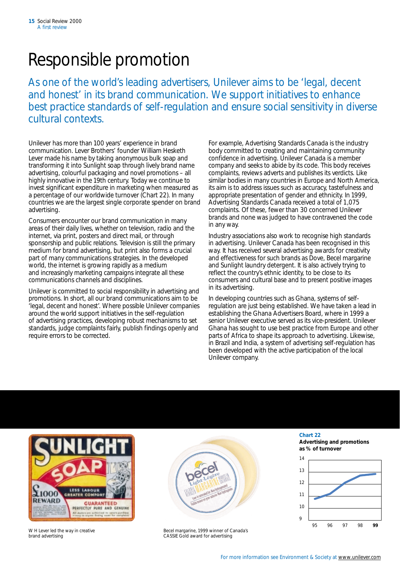### Responsible promotion

As one of the world's leading advertisers, Unilever aims to be 'legal, decent and honest' in its brand communication. We support initiatives to enhance best practice standards of self-regulation and ensure social sensitivity in diverse cultural contexts.

Unilever has more than 100 years' experience in brand communication. Lever Brothers' founder William Hesketh Lever made his name by taking anonymous bulk soap and transforming it into *Sunlight* soap through lively brand name advertising, colourful packaging and novel promotions – all highly innovative in the 19th century. Today we continue to invest significant expenditure in marketing when measured as a percentage of our worldwide turnover (Chart 22). In many countries we are the largest single corporate spender on brand advertising.

Consumers encounter our brand communication in many areas of their daily lives, whether on television, radio and the internet, via print, posters and direct mail, or through sponsorship and public relations. Television is still the primary medium for brand advertising, but print also forms a crucial part of many communications strategies. In the developed world, the internet is growing rapidly as a medium and increasingly marketing campaigns integrate all these communications channels and disciplines.

Unilever is committed to social responsibility in advertising and promotions. In short, all our brand communications aim to be 'legal, decent and honest'. Where possible Unilever companies around the world support initiatives in the self-regulation of advertising practices, developing robust mechanisms to set standards, judge complaints fairly, publish findings openly and require errors to be corrected.

For example, Advertising Standards Canada is the industry body committed to creating and maintaining community confidence in advertising. Unilever Canada is a member company and seeks to abide by its code. This body receives complaints, reviews adverts and publishes its verdicts. Like similar bodies in many countries in Europe and North America, its aim is to address issues such as accuracy, tastefulness and appropriate presentation of gender and ethnicity. In 1999, Advertising Standards Canada received a total of 1,075 complaints. Of these, fewer than 30 concerned Unilever brands and none was judged to have contravened the code in any way.

Industry associations also work to recognise high standards in advertising. Unilever Canada has been recognised in this way. It has received several advertising awards for creativity and effectiveness for such brands as *Dove*, *Becel* margarine and *Sunlight* laundry detergent. It is also actively trying to reflect the country's ethnic identity, to be close to its consumers and cultural base and to present positive images in its advertising.

In developing countries such as Ghana, systems of selfregulation are just being established. We have taken a lead in establishing the Ghana Advertisers Board, where in 1999 a senior Unilever executive served as its vice-president. Unilever Ghana has sought to use best practice from Europe and other parts of Africa to shape its approach to advertising. Likewise, in Brazil and India, a system of advertising self-regulation has been developed with the active participation of the local Unilever company.



W H Lever led the way in creative brand advertising



*Becel* margarine, 1999 winner of Canada's CASSIE Gold award for advertising

### **Chart 22**

**Advertising and promotions as % of turnover** 

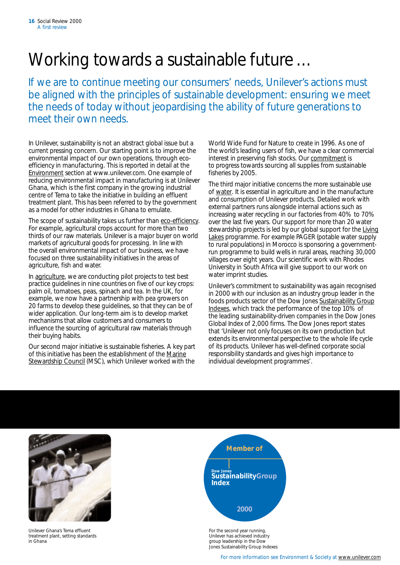## Working towards a sustainable future …

If we are to continue meeting our consumers' needs, Unilever's actions must be aligned with the principles of sustainable development: ensuring we meet the needs of today without jeopardising the ability of future generations to meet their own needs.

In Unilever, sustainability is not an abstract global issue but a current pressing concern. Our starting point is to improve the environmental impact of our own operations, through ecoefficiency in manufacturing. This is reported in detail at the [Environment](http://www.unilever.com/en/en.html) section at www.unilever.com. One example of reducing environmental impact in manufacturing is at Unilever Ghana, which is the first company in the growing industrial centre of Tema to take the initiative in building an effluent treatment plant. This has been referred to by the government as a model for other industries in Ghana to emulate.

The scope of sustainability takes us further than [eco-efficiency.](http://www.unilever.com/en/ta_ec.html) For example, agricultural crops account for more than two thirds of our raw materials. Unilever is a major buyer on world markets of agricultural goods for processing. In line with the overall environmental impact of our business, we have focused on three sustainability initiatives in the areas of agriculture, fish and water.

In [agriculture,](http://www.unilever.com/en/ta_cgr/sa.html) we are conducting pilot projects to test best practice guidelines in nine countries on five of our key crops: palm oil, tomatoes, peas, spinach and tea. In the UK, for example, we now have a partnership with pea growers on 20 farms to develop these guidelines, so that they can be of wider application. Our long-term aim is to develop market mechanisms that allow customers and consumers to influence the sourcing of agricultural raw materials through their buying habits.

Our second major initiative is sustainable fisheries. A key part of this initiative has been the establishment of the [Marine](http://www.msc.org/)  [Stewardship Council](http://www.msc.org/) (MSC), which Unilever worked with the

World Wide Fund for Nature to create in 1996. As one of the world's leading users of fish, we have a clear commercial interest in preserving fish stocks. Our [commitment](http://www.unilever.com/en/ta_cgr/sf.html) is to progress towards sourcing all supplies from sustainable fisheries by 2005.

The third major initiative concerns the more sustainable use of [water.](http://www.unilever.com/en/ta_cgr/sw.html) It is essential in agriculture and in the manufacture and consumption of Unilever products. Detailed work with external partners runs alongside internal actions such as increasing water recycling in our factories from 40% to 70% over the last five years. Our support for more than 20 water stewardship projects is led by our global support for the [Living](http://www.livinglakes.org)  [Lakes](http://www.livinglakes.org) programme. For example PAGER (potable water supply to rural populations) in Morocco is sponsoring a governmentrun programme to build wells in rural areas, reaching 30,000 villages over eight years. Our scientific work with Rhodes University in South Africa will give support to our work on water imprint studies.

Unilever's commitment to sustainability was again recognised in 2000 with our inclusion as an industry group leader in the foods products sector of the Dow Jones [Sustainability Group](http://www.sustainability-index.com/)  [Indexes,](http://www.sustainability-index.com/) which track the performance of the top 10% of the leading sustainability-driven companies in the Dow Jones Global Index of 2,000 firms. The Dow Jones report states that 'Unilever not only focuses on its own production but extends its environmental perspective to the whole life cycle of its products. Unilever has well-defined corporate social responsibility standards and gives high importance to individual development programmes'.



Unilever Ghana's Tema effluent treatment plant, setting standards in Ghana



For the second year running, Unilever has achieved industry group leadership in the Dow Jones Sustainability Group Indexes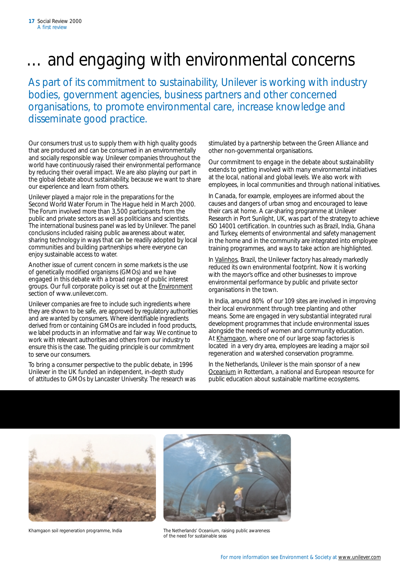## and engaging with environmental concerns

As part of its commitment to sustainability, Unilever is working with industry bodies, government agencies, business partners and other concerned organisations, to promote environmental care, increase knowledge and disseminate good practice.

Our consumers trust us to supply them with high quality goods that are produced and can be consumed in an environmentally and socially responsible way. Unilever companies throughout the world have continuously raised their environmental performance by reducing their overall impact. We are also playing our part in the global debate about sustainability, because we want to share our experience and learn from others.

Unilever played a major role in the preparations for the Second World Water Forum in The Hague held in March 2000. The Forum involved more than 3,500 participants from the public and private sectors as well as politicians and scientists. The international business panel was led by Unilever. The panel conclusions included raising public awareness about water, sharing technology in ways that can be readily adopted by local communities and building partnerships where everyone can enjoy sustainable access to water.

Another issue of current concern in some markets is the use of genetically modified organisms (GMOs) and we have engaged in this debate with a broad range of public interest groups. Our full corporate policy is set out at the [Environment](http://www.unilever.com/en/uo_rgi/gmo.html)  section of www.unilever.com.

Unilever companies are free to include such ingredients where they are shown to be safe, are approved by regulatory authorities and are wanted by consumers. Where identifiable ingredients derived from or containing GMOs are included in food products, we label products in an informative and fair way. We continue to work with relevant authorities and others from our industry to ensure this is the case. The guiding principle is our commitment to serve our consumers.

To bring a consumer perspective to the public debate, in 1996 Unilever in the UK funded an independent, in-depth study of attitudes to GMOs by Lancaster University. The research was stimulated by a partnership between the Green Alliance and other non-governmental organisations.

Our commitment to engage in the debate about sustainability extends to getting involved with many environmental initiatives at the local, national and global levels. We also work with employees, in local communities and through national initiatives.

In Canada, for example, employees are informed about the causes and dangers of urban smog and encouraged to leave their cars at home. A car-sharing programme at Unilever Research in Port Sunlight, UK, was part of the strategy to achieve ISO 14001 certification. In countries such as Brazil, India, Ghana and Turkey, elements of environmental and safety management in the home and in the community are integrated into employee training programmes, and ways to take action are highlighted.

In [Valinhos,](http://www.unilever.com/en/ui_cs/co.html) Brazil, the Unilever factory has already markedly reduced its own environmental footprint. Now it is working with the mayor's office and other businesses to improve environmental performance by public and private sector organisations in the town.

In India, around 80% of our 109 sites are involved in improving their local environment through tree planting and other means. Some are engaged in very substantial integrated rural development programmes that include environmental issues alongside the needs of women and community education. At [Khamgaon,](http://www.unilever.com/en/ui_cs/hll.html) where one of our large soap factories is located in a very dry area, employees are leading a major soil regeneration and watershed conservation programme.

In the Netherlands, Unilever is the main sponsor of a new [Oceanium](http://www.unilever.com/Search/show.asp?articleid=1890) in Rotterdam, a national and European resource for public education about sustainable maritime ecosystems.





Khamgaon soil regeneration programme, India The Netherlands' Oceanium, raising public awareness of the need for sustainable seas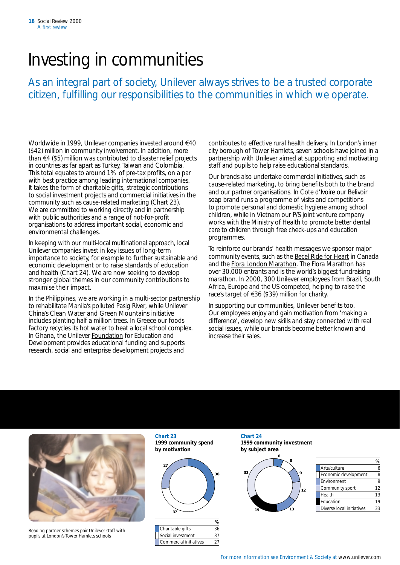## Investing in communities

As an integral part of society, Unilever always strives to be a trusted corporate citizen, fulfilling our responsibilities to the communities in which we operate.

Worldwide in 1999, Unilever companies invested around  $\epsilon$ 40 (\$42) million in [community involvement.](http://www.unilever.com/so/co.html) In addition, more than  $\epsilon$ 4 (\$5) million was contributed to disaster relief projects in countries as far apart as Turkey, Taiwan and Colombia. This total equates to around 1% of pre-tax profits, on a par with best practice among leading international companies. It takes the form of charitable gifts, strategic contributions to social investment projects and commercial initiatives in the community such as cause-related marketing (Chart 23). We are committed to working directly and in partnership with public authorities and a range of not-for-profit organisations to address important social, economic and environmental challenges.

In keeping with our multi-local multinational approach, local Unilever companies invest in key issues of long-term importance to society, for example to further sustainable and economic development or to raise standards of education and health (Chart 24). We are now seeking to develop stronger global themes in our community contributions to maximise their impact.

In the Philippines, we are working in a multi-sector partnership to rehabilitate Manila's polluted [Pasig River,](http://www.unilever.com/en/ui_cs/cp.html) while Unilever China's *Clean Water and Green Mountains* initiative includes planting half a million trees. In Greece our foods factory recycles its hot water to heat a local school complex. In Ghana, the Unilever [Foundation](http://www.unilever.com/so/cs/gh.html) for Education and Development provides educational funding and supports research, social and enterprise development projects and

contributes to effective rural health delivery. In London's inner city borough of [Tower Hamlets,](http://www.unilever.com/so/cs/th.html) seven schools have joined in a partnership with Unilever aimed at supporting and motivating staff and pupils to help raise educational standards.

Our brands also undertake commercial initiatives, such as cause-related marketing, to bring benefits both to the brand and our partner organisations. In Cote d'Ivoire our *Belivoir*  soap brand runs a programme of visits and competitions to promote personal and domestic hygiene among school children, while in Vietnam our *P/S* joint venture company works with the Ministry of Health to promote better dental care to children through free check-ups and education programmes.

To reinforce our brands' health messages we sponsor major community events, such as the *Becel* [Ride for Heart](http://www.toronto.com/E/V/TORON/0050/16/24/1.html) in Canada and the *Flora* [London Marathon.](http://www.london-marathon.co.uk/) The *Flora* Marathon has over 30,000 entrants and is the world's biggest fundraising marathon. In 2000, 300 Unilever employees from Brazil, South Africa, Europe and the US competed, helping to raise the race's target of  $\in$ 36 (\$39) million for charity.

In supporting our communities, Unilever benefits too. Our employees enjoy and gain motivation from 'making a difference', develop new skills and stay connected with real social issues, while our brands become better known and increase their sales.



Reading partner schemes pair Unilever staff with pupils at London's Tower Hamlets schools

**Chart 23 Chart 24 by motivation by subject area** 



| Charitable gifts       | 36 |
|------------------------|----|
| Social investment      | 27 |
| Commercial initiatives |    |
|                        |    |

**1999 community spend 1999 community investment** 



|          |                           | %               |
|----------|---------------------------|-----------------|
|          | Arts/culture              | o               |
| Ω        | Economic development      | 8               |
|          | Environment               |                 |
|          | Community sport           | 12 <sup>°</sup> |
|          | Health                    | 13              |
|          | Education                 | 19              |
| 13<br>19 | Diverse local initiatives | 33              |
|          | 33<br>12                  |                 |